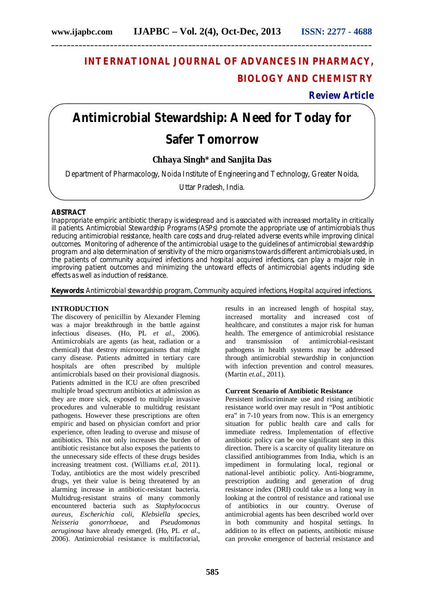## **INTERNATIONAL JOURNAL OF ADVANCES IN PHARMACY, BIOLOGY AND CHEMISTRY**

**Review Article**

# **Antimicrobial Stewardship: A Need for Today for**

## **Safer Tomorrow**

### **Chhaya Singh\* and Sanjita Das**

Department of Pharmacology, Noida Institute of Engineering and Technology, Greater Noida,

Uttar Pradesh, India.

#### **ABSTRACT**

Inappropriate empiric antibiotic therapy is widespread and is associated with increased mortality in critically ill patients. Antimicrobial Stewardship Programs (ASPs) promote the appropriate use of antimicrobials thus reducing antimicrobial resistance, health care costs and drug-related adverse events while improving clinical outcomes. Monitoring of adherence of the antimicrobial usage to the guidelines of antimicrobial stewardship program and also determination of sensitivity of the micro organisms towards different antimicrobials used, in the patients of community acquired infections and hospital acquired infections, can play a major role in improving patient outcomes and minimizing the untoward effects of antimicrobial agents including side effects as well as induction of resistance.

**Keywords:** Antimicrobial stewardship program, Community acquired infections, Hospital acquired infections.

#### **INTRODUCTION**

The discovery of penicillin by Alexander Fleming was a major breakthrough in the battle against infectious diseases. (Ho, PL *et al*., 2006). Antimicrobials are agents (as heat, radiation or a chemical) that destroy microorganisms that might carry disease. Patients admitted in tertiary care hospitals are often prescribed by multiple antimicrobials based on their provisional diagnosis. Patients admitted in the ICU are often prescribed multiple broad spectrum antibiotics at admission as they are more sick, exposed to multiple invasive procedures and vulnerable to multidrug resistant pathogens. However these prescriptions are often empiric and based on physician comfort and prior experience, often leading to overuse and misuse of antibiotics. This not only increases the burden of antibiotic resistance but also exposes the patients to the unnecessary side effects of these drugs besides increasing treatment cost. (Williams *et.al*, 2011). Today, antibiotics are the most widely prescribed drugs, yet their value is being threatened by an alarming increase in antibiotic-resistant bacteria. Multidrug-resistant strains of many commonly encountered bacteria such as *Staphylococcus aureus*, *Escherichia coli*, *Klebsiella species*, *Neisseria gonorrhoeae*, and *Pseudomonas aeruginosa* have already emerged. (Ho, PL *et al*., 2006). Antimicrobial resistance is multifactorial,

results in an increased length of hospital stay, increased mortality and increased cost of healthcare, and constitutes a major risk for human health. The emergence of antimicrobial resistance and transmission of antimicrobial-resistant pathogens in health systems may be addressed through antimicrobial stewardship in conjunction with infection prevention and control measures. (Martin *et.al.,* 2011).

#### **Current Scenario of Antibiotic Resistance**

Persistent indiscriminate use and rising antibiotic resistance world over may result in "Post antibiotic era" in 7-10 years from now. This is an emergency situation for public health care and calls for immediate redress. Implementation of effective antibiotic policy can be one significant step in this direction. There is a scarcity of quality literature on classified antibiogrammes from India, which is an impediment in formulating local, regional or national-level antibiotic policy. Anti-biogramme, prescription auditing and generation of drug resistance index (DRI) could take us a long way in looking at the control of resistance and rational use of antibiotics in our country. Overuse of antimicrobial agents has been described world over in both community and hospital settings. In addition to its effect on patients, antibiotic misuse can provoke emergence of bacterial resistance and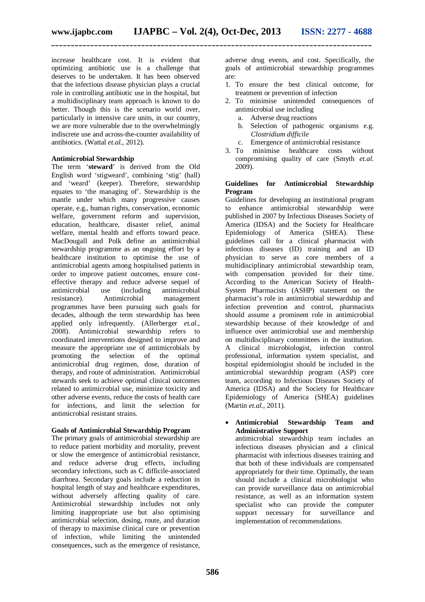increase healthcare cost. It is evident that optimizing antibiotic use is a challenge that deserves to be undertaken. It has been observed that the infectious disease physician plays a crucial role in controlling antibiotic use in the hospital, but a multidisciplinary team approach is known to do better. Though this is the scenario world over, particularly in intensive care units, in our country, we are more vulnerable due to the overwhelmingly indiscrete use and across-the-counter availability of antibiotics. (Wattal *et.al.,* 2012).

#### **Antimicrobial Stewardship**

The term '**steward**' is derived from the Old English word 'stigweard', combining 'stig' (hall) and 'weard' (keeper). Therefore, stewardship equates to 'the managing of'. Stewardship is the mantle under which many progressive causes operate, e.g., human rights, conservation, economic welfare, government reform and supervision. education, healthcare, disaster relief, animal welfare, mental health and efforts toward peace. MacDougall and Polk define an antimicrobial stewardship programme as an ongoing effort by a healthcare institution to optimise the use of antimicrobial agents among hospitalised patients in order to improve patient outcomes, ensure costeffective therapy and reduce adverse sequel of antimicrobial use (including antimicrobial resistance). Antimicrobial management programmes have been pursuing such goals for decades, although the term stewardship has been applied only infrequently. (Allerberger *et.al.,*  2008). Antimicrobial stewardship refers to coordinated interventions designed to improve and measure the appropriate use of antimicrobials by<br>promoting the selection of the optimal promoting the selection of the antimicrobial drug regimen, dose, duration of therapy, and route of administration. Antimicrobial stewards seek to achieve optimal clinical outcomes related to antimicrobial use, minimize toxicity and other adverse events, reduce the costs of health care for infections, and limit the selection for antimicrobial resistant strains.

#### **Goals of Antimicrobial Stewardship Program**

The primary goals of antimicrobial stewardship are to reduce patient morbidity and mortality, prevent or slow the emergence of antimicrobial resistance, and reduce adverse drug effects, including secondary infections, such as C difficile-associated diarrhoea. Secondary goals include a reduction in hospital length of stay and healthcare expenditures, without adversely affecting quality of care. Antimicrobial stewardship includes not only limiting inappropriate use but also optimising antimicrobial selection, dosing, route, and duration of therapy to maximise clinical cure or prevention of infection, while limiting the unintended consequences, such as the emergence of resistance,

adverse drug events, and cost. Specifically, the goals of antimicrobial stewardship programmes are:

- 1. To ensure the best clinical outcome, for treatment or prevention of infection
- 2. To minimise unintended consequences of antimicrobial use including
	- a. Adverse drug reactions
	- b. Selection of pathogenic organisms e.g. *Clostridium difficile*
	- c. Emergence of antimicrobial resistance
- 3. To minimise healthcare costs without compromising quality of care (Smyth *et.al.* 2009).

#### **Guidelines for Antimicrobial Stewardship Program**

Guidelines for developing an institutional program to enhance antimicrobial stewardship were published in 2007 by Infectious Diseases Society of America (IDSA) and the Society for Healthcare Epidemiology of America (SHEA). These guidelines call for a clinical pharmacist with infectious diseases (ID) training and an ID physician to serve as core members of a multidisciplinary antimicrobial stewardship team, with compensation provided for their time. According to the American Society of Health-System Pharmacists (ASHP) statement on the pharmacist's role in antimicrobial stewardship and infection prevention and control, pharmacists should assume a prominent role in antimicrobial stewardship because of their knowledge of and influence over antimicrobial use and membership on multidisciplinary committees in the institution.<br>A clinical microbiologist, infection control clinical microbiologist, infection control professional, information system specialist, and hospital epidemiologist should be included in the antimicrobial stewardship program (ASP) core team, according to Infectious Diseases Society of America (IDSA) and the Society for Healthcare Epidemiology of America (SHEA) guidelines (Martin *et.al.,* 2011).

 **Antimicrobial Stewardship Team and Administrative Support**

antimicrobial stewardship team includes an infectious diseases physician and a clinical pharmacist with infectious diseases training and that both of these individuals are compensated appropriately for their time. Optimally, the team should include a clinical microbiologist who can provide surveillance data on antimicrobial resistance, as well as an information system specialist who can provide the computer support necessary for surveillance and implementation of recommendations.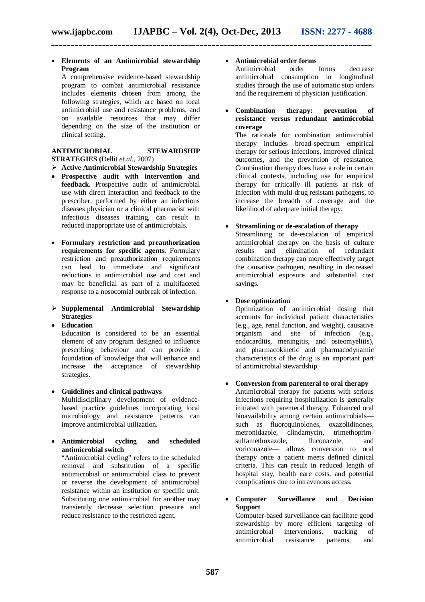**Elements of an Antimicrobial stewardship Program**

A comprehensive evidence-based stewardship program to combat antimicrobial resistance includes elements chosen from among the following strategies, which are based on local antimicrobial use and resistance problems, and on available resources that may differ depending on the size of the institution or clinical setting.

#### **ANTIMICROBIAL STEWARDSHIP STRATEGIES (**Dellit *et.al.,* 2007)

- **Active Antimicrobial Stewardship Strategies**
- **Prospective audit with intervention and feedback.** Prospective audit of antimicrobial use with direct interaction and feedback to the prescriber, performed by either an infectious diseases physician or a clinical pharmacist with infectious diseases training, can result in reduced inappropriate use of antimicrobials.
- **Formulary restriction and preauthorization requirements for specific agents.** Formulary restriction and preauthorization requirements can lead to immediate and significant reductions in antimicrobial use and cost and may be beneficial as part of a multifaceted response to a nosocomial outbreak of infection.

#### **Supplemental Antimicrobial Stewardship Strategies**

- **Education** Education is considered to be an essential element of any program designed to influence prescribing behaviour and can provide a foundation of knowledge that will enhance and increase the acceptance of stewardship strategies.
- **Guidelines and clinical pathways** Multidisciplinary development of evidencebased practice guidelines incorporating local microbiology and resistance patterns can improve antimicrobial utilization.
- **Antimicrobial cycling and scheduled antimicrobial switch**

"Antimicrobial cycling" refers to the scheduled removal and substitution of a specific antimicrobial or antimicrobial class to prevent or reverse the development of antimicrobial resistance within an institution or specific unit. Substituting one antimicrobial for another may transiently decrease selection pressure and reduce resistance to the restricted agent.

#### **Antimicrobial order forms**

Antimicrobial order forms decrease antimicrobial consumption in longitudinal studies through the use of automatic stop orders and the requirement of physician justification.

 **Combination therapy: prevention of resistance versus redundant antimicrobial coverage**

The rationale for combination antimicrobial therapy includes broad-spectrum empirical therapy for serious infections, improved clinical outcomes, and the prevention of resistance. Combination therapy does have a role in certain clinical contexts, including use for empirical therapy for critically ill patients at risk of infection with multi drug resistant pathogens, to increase the breadth of coverage and the likelihood of adequate initial therapy.

#### **Streamlining or de-escalation of therapy**

Streamlining or de-escalation of empirical antimicrobial therapy on the basis of culture results and elimination of redundant combination therapy can more effectively target the causative pathogen, resulting in decreased antimicrobial exposure and substantial cost savings.

#### **Dose optimization**

Optimization of antimicrobial dosing that accounts for individual patient characteristics (e.g., age, renal function, and weight), causative organism and site of infection (e.g., endocarditis, meningitis, and osteomyelitis), and pharmacokinetic and pharmacodynamic characteristics of the drug is an important part of antimicrobial stewardship.

#### **Conversion from parenteral to oral therapy**

Antimicrobial therapy for patients with serious infections requiring hospitalization is generally initiated with parenteral therapy. Enhanced oral bioavailability among certain antimicrobials such as fluoroquinolones, oxazolidinones, metronidazole, clindamycin, trimethoprimsulfamethoxazole, fluconazole, and voriconazole— allows conversion to oral therapy once a patient meets defined clinical criteria. This can result in reduced length of hospital stay, health care costs, and potential complications due to intravenous access.

#### **Computer Surveillance and Decision Support**

Computer-based surveillance can facilitate good stewardship by more efficient targeting of antimicrobial interventions, tracking of antimicrobial resistance patterns, and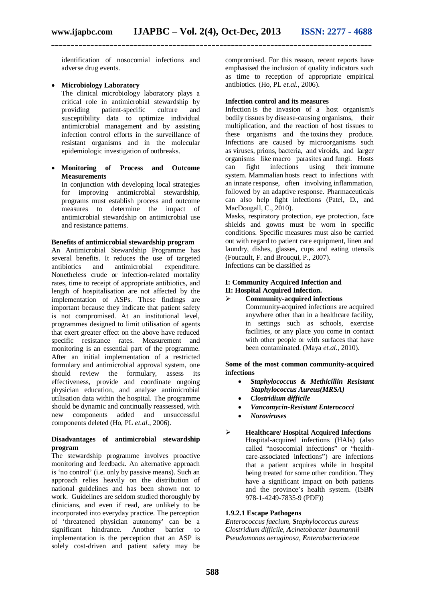identification of nosocomial infections and adverse drug events.

#### **Microbiology Laboratory**

The clinical microbiology laboratory plays a critical role in antimicrobial stewardship by providing patient-specific culture and susceptibility data to optimize individual antimicrobial management and by assisting infection control efforts in the surveillance of resistant organisms and in the molecular epidemiologic investigation of outbreaks.

 **Monitoring of Process and Outcome Measurements**

In conjunction with developing local strategies for improving antimicrobial stewardship, programs must establish process and outcome measures to determine the impact of antimicrobial stewardship on antimicrobial use and resistance patterns.

#### **Benefits of antimicrobial stewardship program**

An Antimicrobial Stewardship Programme has several benefits. It reduces the use of targeted antibiotics and antimicrobial expenditure. Nonetheless crude or infection-related mortality rates, time to receipt of appropriate antibiotics, and length of hospitalisation are not affected by the implementation of ASPs. These findings are important because they indicate that patient safety is not compromised. At an institutional level, programmes designed to limit utilisation of agents that exert greater effect on the above have reduced specific resistance rates. Measurement and monitoring is an essential part of the programme. After an initial implementation of a restricted formulary and antimicrobial approval system, one should review the formulary, assess its effectiveness, provide and coordinate ongoing physician education, and analyse antimicrobial utilisation data within the hospital. The programme should be dynamic and continually reassessed, with new components added and unsuccessful components deleted (Ho, PL *et.al*., 2006).

#### **Disadvantages of antimicrobial stewardship program**

The stewardship programme involves proactive monitoring and feedback. An alternative approach is 'no control' (i.e. only by passive means). Such an approach relies heavily on the distribution of national guidelines and has been shown not to work. Guidelines are seldom studied thoroughly by clinicians, and even if read, are unlikely to be incorporated into everyday practice. The perception of 'threatened physician autonomy' can be a significant hindrance. Another barrier to implementation is the perception that an ASP is solely cost-driven and patient safety may be

compromised. For this reason, recent reports have emphasised the inclusion of quality indicators such as time to reception of appropriate empirical antibiotics. (Ho, PL *et.al.*, 2006).

#### **Infection control and its measures**

Infection is the invasion of a host organism's bodily tissues by disease-causing organisms, their multiplication, and the reaction of host tissues to these organisms and the toxins they produce. Infections are caused by microorganisms such as viruses, prions, bacteria, and viroids, and larger organisms like macro parasites and fungi. Hosts can fight infections using their immune system. Mammalian hosts react to infections with an innate response, often involving inflammation, followed by an adaptive response. Pharmaceuticals can also help fight infections (Patel, D., and MacDougall, C., 2010).

Masks, respiratory protection, eye protection, face shields and gowns must be worn in specific conditions. Specific measures must also be carried out with regard to patient care equipment, linen and laundry, dishes, glasses, cups and eating utensils (Foucault, F. and Brouqui, P., 2007).

Infections can be classified as

#### **I: Community Acquired Infection and II: Hospital Acquired Infection.**

 **Community-acquired infections** Community-acquired infections are acquired anywhere other than in a healthcare facility, in settings such as schools, exercise facilities, or any place you come in contact with other people or with surfaces that have been contaminated. (Maya *et.al.*, 2010).

**Some of the most common community-acquired infections**

- *Staphylococcus & Methicillin Resistant Staphylococcus Aureus(MRSA)*
- *Clostridium difficile*
- *Vancomycin-Resistant Enterococci*
- *Noroviruses*

#### **Healthcare/ Hospital Acquired Infections** Hospital-acquired infections (HAIs) (also called "nosocomial infections" or "healthcare-associated infections") are infections that a patient acquires while in hospital being treated for some other condition. They have a significant impact on both patients and the province's health system. (ISBN 978-1-4249-7835-9 (PDF))

#### **1.9.2.1 Escape Pathogens**

*Enterococcus faecium, Staphylococcus aureus Clostridium difficile, Acinetobacter baumannii Pseudomonas aeruginosa, Enterobacteriaceae*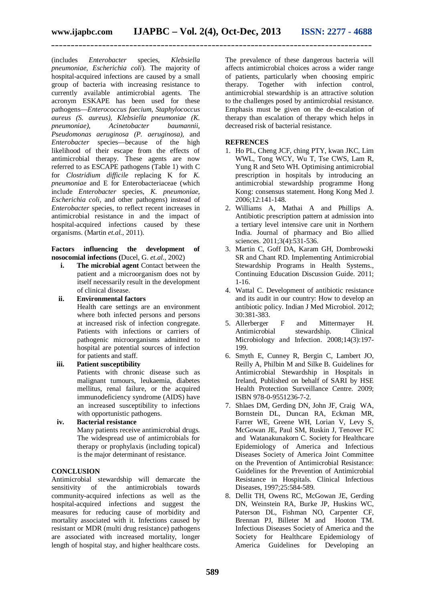(includes *Enterobacter* species, *Klebsiella pneumoniae, Escherichia coli*). The majority of hospital-acquired infections are caused by a small group of bacteria with increasing resistance to currently available antimicrobial agents. The acronym ESKAPE has been used for these pathogens—*Enterococcus faecium, Staphylococcus aureus (S. aureus), Klebsiella pneumoniae (K. pneumoniae), Acinetobacter baumannii, Pseudomonas aeruginosa (P. aeruginosa),* and *Enterobacter* species—because of the high likelihood of their escape from the effects of antimicrobial therapy. These agents are now referred to as ESCAPE pathogens (Table 1) with C for *Clostridium difficile* replacing K for *K. pneumoniae* and E for Enterobacteriaceae (which include *Enterobacter* species, *K. pneumoniae, Escherichia coli,* and other pathogens) instead of *Enterobacter* species, to reflect recent increases in antimicrobial resistance in and the impact of hospital-acquired infections caused by these organisms. (Martin *et.al.,* 2011).

#### **Factors influencing the development of nosocomial infections (**Ducel, G. *et.al.,* 2002)

- **i. The microbial agent** Contact between the patient and a microorganism does not by itself necessarily result in the development of clinical disease.
- **ii. Environmental factors**

Health care settings are an environment where both infected persons and persons at increased risk of infection congregate. Patients with infections or carriers of pathogenic microorganisms admitted to hospital are potential sources of infection for patients and staff.

**iii. Patient susceptibility**

Patients with chronic disease such as malignant tumours, leukaemia, diabetes mellitus, renal failure, or the acquired immunodeficiency syndrome (AIDS) have an increased susceptibility to infections with opportunistic pathogens.

**iv. Bacterial resistance** Many patients receive antimicrobial drugs. The widespread use of antimicrobials for therapy or prophylaxis (including topical) is the major determinant of resistance.

#### **CONCLUSION**

Antimicrobial stewardship will demarcate the sensitivity of the antimicrobials towards community-acquired infections as well as the hospital-acquired infections and suggest the measures for reducing cause of morbidity and mortality associated with it. Infections caused by resistant or MDR (multi drug resistance) pathogens are associated with increased mortality, longer length of hospital stay, and higher healthcare costs.

The prevalence of these dangerous bacteria will affects antimicrobial choices across a wider range of patients, particularly when choosing empiric<br>therapy. Together with infection control. therapy. Together with infection control, antimicrobial stewardship is an attractive solution to the challenges posed by antimicrobial resistance. Emphasis must be given on the de-escalation of therapy than escalation of therapy which helps in decreased risk of bacterial resistance.

#### **REFRENCES**

- 1. Ho PL, Cheng JCF, ching PTY, kwan JKC, Lim WWL, Tong WCY, Wu T, Tse CWS, Lam R, Yung R and Seto WH. Optimising antimicrobial prescription in hospitals by introducing an antimicrobial stewardship programme Hong Kong: consensus statement. Hong Kong Med J. 2006;12:141-148.
- 2. Williams A, Mathai A and Phillips A. Antibiotic prescription pattern at admission into a tertiary level intensive care unit in Northern India. Journal of pharmacy and Bio allied sciences. 2011;3(4):531-536.
- 3. Martin C, Goff DA, Karam GH, Dombrowski SR and Chant RD. Implementing Antimicrobial Stewardship Programs in Health Systems., Continuing Education Discussion Guide. 2011; 1-16.
- 4. Wattal C. Development of antibiotic resistance and its audit in our country: How to develop an antibiotic policy. Indian J Med Microbiol. 2012; 30:381-383.
- 5. Allerberger F and Mittermayer H. Antimicrobial stewardship. Clinical Microbiology and Infection. 2008;14(3):197- 199.
- 6. Smyth E, Cunney R, Bergin C, Lambert JO, Reilly A, Philbin M and Silke B. Guidelines for Antimicrobial Stewardship in Hospitals in Ireland, Published on behalf of SARI by HSE Health Protection Surveillance Centre. 2009; ISBN 978-0-9551236-7-2.
- 7. Shlaes DM, Gerding DN, John JF, Craig WA, Bornstein DL, Duncan RA, Eckman MR, Farrer WE, Greene WH, Lorian V, Levy S, McGowan JE, Paul SM, Ruskin J, Tenover FC and Watanakunakorn C. Society for Healthcare Epidemiology of America and Infectious Diseases Society of America Joint Committee on the Prevention of Antimicrobial Resistance: Guidelines for the Prevention of Antimicrobial Resistance in Hospitals. Clinical Infectious Diseases, 1997;25:584-589.
- 8. Dellit TH, Owens RC, McGowan JE, Gerding DN, Weinstein RA, Burke JP, Huskins WC, Paterson DL, Fishman NO, Carpenter CF, Brennan PJ, Billeter M and Hooton TM. Infectious Diseases Society of America and the Society for Healthcare Epidemiology of America Guidelines for Developing an